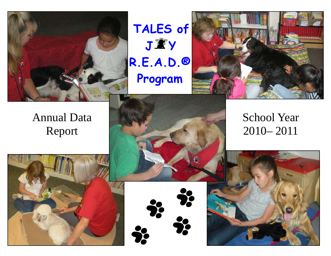





# Annual Data Report





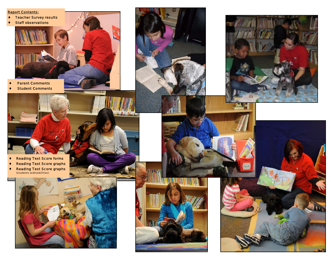

♦ *Student Comments* 



dealer House board



- ♦ *Reading Test Score forms*
- **Reading Test Score graphs**
- ♦ *Reading Test Score graphs*





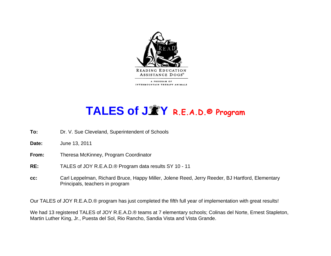

# **TALES of J Y R.E.A.D.® Program**

- **To:** Dr. V. Sue Cleveland, Superintendent of Schools
- **Date:** June 13, 2011
- **From:** Theresa McKinney, Program Coordinator
- **RE:** TALES of JOY R.E.A.D.® Program data results SY 10 11
- **cc:** Carl Leppelman, Richard Bruce, Happy Miller, Jolene Reed, Jerry Reeder, BJ Hartford, Elementary Principals, teachers in program

Our TALES of JOY R.E.A.D.® program has just completed the fifth full year of implementation with great results!

We had 13 registered TALES of JOY R.E.A.D.® teams at 7 elementary schools; Colinas del Norte, Ernest Stapleton, Martin Luther King, Jr., Puesta del Sol, Rio Rancho, Sandia Vista and Vista Grande.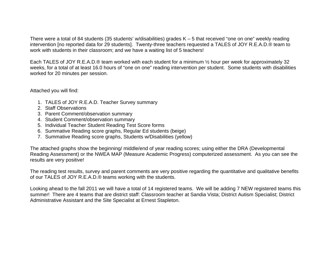There were a total of 84 students (35 students' w/disabilities) grades K – 5 that received "one on one" weekly reading intervention [no reported data for 29 students]. Twenty-three teachers requested a TALES of JOY R.E.A.D.® team to work with students in their classroom; and we have a waiting list of 5 teachers!

Each TALES of JOY R.E.A.D.® team worked with each student for a minimum 1/2 hour per week for approximately 32 weeks, for a total of at least 16.0 hours of "one on one" reading intervention per student. Some students with disabilities worked for 20 minutes per session.

Attached you will find:

- 1. TALES of JOY R.E.A.D. Teacher Survey summary
- 2. Staff Observations
- 3. Parent Comment/observation summary
- 4. Student Comment/observation summary
- 5. Individual Teacher Student Reading Test Score forms
- 6. Summative Reading score graphs, Regular Ed students (beige)
- 7. Summative Reading score graphs, Students w/Disabilities (yellow)

The attached graphs show the beginning/ middle/end of year reading scores; using either the DRA (Developmental Reading Assessment) or the NWEA MAP (Measure Academic Progress) computerized assessment. As you can see the results are very positive!

The reading test results, survey and parent comments are very positive regarding the quantitative and qualitative benefits of our TALES of JOY R.E.A.D.® teams working with the students.

Looking ahead to the fall 2011 we will have a total of 14 registered teams. We will be adding 7 NEW registered teams this summer! There are 4 teams that are district staff: Classroom teacher at Sandia Vista; District Autism Specialist; District Administrative Assistant and the Site Specialist at Ernest Stapleton.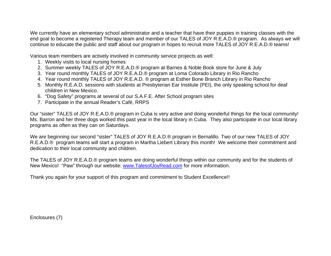We currently have an elementary school administrator and a teacher that have their puppies in training classes with the end goal to become a registered Therapy team and member of our TALES of JOY R.E.A.D.® program. As always we will continue to educate the public and staff about our program in hopes to recruit more TALES of JOY R.E.A.D.® teams!

Various team members are actively involved in community service projects as well:

- 1. Weekly visits to local nursing homes
- 2. Summer weekly TALES of JOY R.E.A.D.® program at Barnes & Noble Book store for June & July
- 3. Year round monthly TALES of JOY R.E.A.D.® program at Loma Colorado Library in Rio Rancho
- 4. Year round monthly TALES of JOY R.E.A.D. ® program at Esther Bone Branch Library in Rio Rancho
- 5. Monthly R.E.A.D. sessions with students at Presbyterian Ear Institute (PEI), the only speaking school for deaf children in New Mexico.
- 6. "Dog Safety" programs at several of our S.A.F.E. After School program sites
- 7. Participate in the annual Reader's Café, RRPS

Our "sister" TALES of JOY R.E.A.D.® program in Cuba is very active and doing wonderful things for the local community! Ms. Barron and her three dogs worked this past year in the local library in Cuba. They also participate in our local library programs as often as they can on Saturdays.

We are beginning our second "sister" TALES of JOY R.E.A.D.® program in Bernalillo. Two of our new TALES of JOY R.E.A.D.® program teams will start a program in Martha Liebert Library this month! We welcome their commitment and dedication to their local community and children.

The TALES of JOY R.E.A.D.® program teams are doing wonderful things within our community and for the students of New Mexico! "Paw" through our website: www.TalesofJoyRead.com for more information.

Thank you again for your support of this program and commitment to Student Excellence!!

Enclosures (7)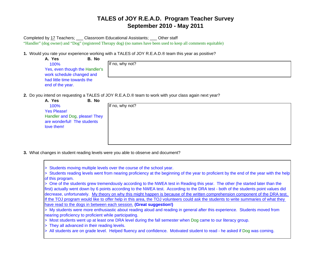Completed by 17 Teachers; \_\_\_ Classroom Educational Assistants; \_\_\_ Other staff "Handler" (dog owner) and "Dog" (registered Therapy dog) (no names have been used to keep all comments equitable)

**1.** Would you rate your experience working with a TALES of JOY R.E.A.D.® team this year as positive?

| A. Yes                                                      | B. No |                 |  |
|-------------------------------------------------------------|-------|-----------------|--|
| 100%                                                        |       | If no, why not? |  |
| Yes, even though the Handler's<br>work schedule changed and |       |                 |  |
| had little time towards the                                 |       |                 |  |
| end of the year.                                            |       |                 |  |

**2.** Do you intend on requesting a TALES of JOY R.E.A.D.® team to work with your class again next year?

| A. Yes                        | B. No |                 |
|-------------------------------|-------|-----------------|
| 100%                          |       | If no, why not? |
| <b>Yes Please!</b>            |       |                 |
| Handler and Dog, please! They |       |                 |
| are wonderful! The students   |       |                 |
| love them!                    |       |                 |
|                               |       |                 |
|                               |       |                 |
|                               |       |                 |

**3.** What changes in student reading levels were you able to observe and document?

| > Students moving multiple levels over the course of the school year.                                                                   |
|-----------------------------------------------------------------------------------------------------------------------------------------|
| > Students reading levels went from nearing proficiency at the beginning of the year to proficient by the end of the year with the help |
| of this program.                                                                                                                        |
| > One of the students grew tremendously according to the NWEA test in Reading this year. The other (he started later than the           |
| first) actually went down by 6 points according to the NWEA test. According to the DRA test - both of the students point values did     |
| decrease, unfortunately. My theory on why this might happen is because of the written comprehension component of the DRA test.          |
| If the TOJ program would like to offer help in this area, the TOJ volunteers could ask the students to write summaries of what they     |
| have read to the dogs in between each session. (Great suggestion!)                                                                      |
| > My students were more enthusiastic about reading aloud and reading in general after this experience. Students moved from              |
| nearing proficiency to proficient while participating.                                                                                  |
| > Most students went up at least one DRA level during the fall semester when Dog came to our literacy group.                            |
| > They all advanced in their reading levels.                                                                                            |
| > All students are on grade level. Helped fluency and confidence. Motivated student to read - he asked if Dog was coming.               |
|                                                                                                                                         |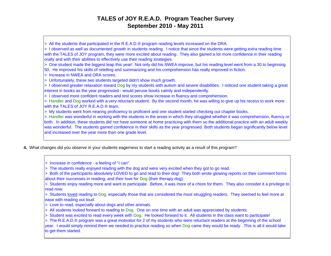> All the students that participated in the R.E.A.D.® program reading levels increased on the DRA. > I observed as well as documented growth in students reading. I notice that since the students were getting extra reading time with the TALES of JOY program, they were more excited about reading. They also gained a lot more confidence in their reading orally and with their abilities to effectively use their reading strategies. > One student made the biggest leap this year! Not only did his NWEA improve, but his reading level went from a 30 to beginning 50. He improved his skills of retelling and summarizing and his comprehension has really improved in fiction. > Increase in NWEA and DRA scores.> Unfortunately, these two students targeted didn't show much growth. > I observed greater relaxation toward Dog by my students with autism and severe disabilities. I noticed one student taking a great interest in books as the year progressed - would peruse books calmly and independently. > I observed more confident readers and test scores show increase in fluency and comprehension. > Handler and Dog worked with a very reluctant student. By the second month, he was willing to give up his recess to work more with the TALES of JOY R.E.A.D.® team. > My students went from nearing proficiency to proficient and one student started checking out chapter books. > Handler was wonderful in working with the students in the areas in which they struggled whether it was comprehension, fluency or both. In addition, these students did not have someone at home practicing with them so the additional practice with an adult weekly was wonderful. The students gained confidence in their skills as the year progressed. Both students began significantly below level and increased over the year more than one grade level.

**4.** What changes did you observe in your students eagerness to start a reading activity as a result of this program?

> Increase in confidence - a feeling of "I can".

> The students really enjoyed reading with the dog and were very excited when they got to go read.

> Both of the participants absolutely LOVED to go and read to their dog! They both wrote glowing reports on their comment forms about their successes in reading, and their love for Dog (their therapy dog).

> Students enjoy reading more and want to participate. Before, it was more of a chore for them. They also consider it a privilege to read now.

> Students loved reading to Dog, especially those that are considered the most struggling readers. They seemed to feel more at ease with reading out loud.

- > Love to read, especially about dogs and other animals.
- > All students looked forward to reading to Dog. One on one time with an adult was appreciated by students.
- > Student was excited to read every week with Dog. He looked forward to it. All students in the class want to participate!

> The R.E.A.D.® program was a great motivator for 2 of my students who were reluctant readers at the beginning of the school

year. I would simply remind them we needed to practice reading so when Dog came they would be ready. This is all it would take to get them started.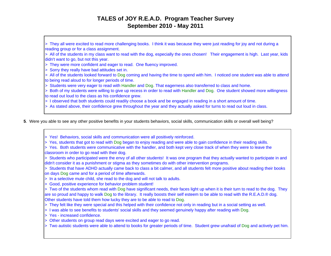> They all were excited to read more challenging books. I think it was because they were just reading for joy and not during a reading group or for a class assignment.

> All of the students in my class want to read with the dog, especially the ones chosen! Their engagement is high. Last year, kids didn't want to go, but not this year.

- > They were more confident and eager to read. One fluency improved.
- > Sorry they really have bad attitudes set in.
- > All of the students looked forward to Dog coming and having the time to spend with him. I noticed one student was able to attend to being read aloud to for longer periods of time.
- > Students were very eager to read with Handler and Dog. That eagerness also transferred to class and home.
- > Both of my students were willing to give up recess in order to read with Handler and Dog. One student showed more willingness to read out loud to the class as his confidence grew.
- > I observed that both students could readily choose a book and be engaged in reading in a short amount of time.
- > As stated above, their confidence grew throughout the year and they actually asked for turns to read out loud in class.
- **5**. Were you able to see any other positive benefits in your students behaviors, social skills, communication skills or overall well being?
	- > Yes! Behaviors, social skills and communication were all positively reinforced.
	- > Yes, students that got to read with Dog began to enjoy reading and were able to gain confidence in their reading skills.
	- > Yes. Both students were communicative with the handler, and both kept very close track of when they were to leave the classroom in order to go read with their dog.
	- > Students who participated were the envy of all other students! It was one program that they actually wanted to participate in and didn't consider it as a punishment or stigma as they sometimes do with other intervention programs.
	- > Students that have ADHD actually came back to class a bit calmer, and all students felt more positive about reading their books on days Dog came and for a period of time afterwards.
	- > In a selective mute child, she read to the dog and will not talk to adults.
	- > Good, positive experience for behavior problem student!
	- > Two of the students whom read with Dog have significant needs, their faces light up when it is their turn to read to the dog. They are so proud and happy to walk Dog to the library. It really boosts their self esteem to be able to read with the R.E.A.D.® dog. Other students have told them how lucky they are to be able to read to Dog.
	- > They felt like they were special and this helped with their confidence not only in reading but in a social setting as well.
	- > I was able to see benefits to students' social skills and they seemed genuinely happy after reading with Dog.
	- > Yes increased confidence.
	- > Other students on group read days were excited and eager to go read.
	- > Two autistic students were able to attend to books for greater periods of time. Student grew unafraid of Dog and actively pet him.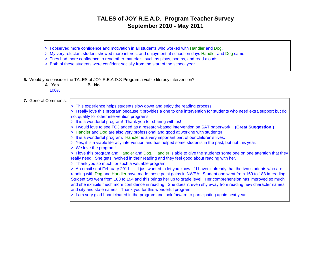- > I observed more confidence and motivation in all students who worked with Handler and Dog.
- > My very reluctant student showed more interest and enjoyment at school on days Handler and Dog came.
- > They had more confidence to read other materials, such as plays, poems, and read alouds.
- > Both of these students were confident socially from the start of the school year.
- **6.** Would you consider the TALES of JOY R.E.A.D.® Program a viable literacy intervention?

**A. Yes B. No**100%

#### **7.** General Comments:

- > This experience helps students slow down and enjoy the reading process.
- > I really love this program because it provides a one to one intervention for students who need extra support but do not qualify for other intervention programs.
- > It is a wonderful program! Thank you for sharing with us!
- > I would love to see TOJ added as a research-based intervention on SAT paperwork. **(Great Suggestion!)**
- > Handler and Dog are also very professional and good at working with students!
- > It is a wonderful program. Handler is a very important part of our children's lives.
- > Yes, it is a viable literacy intervention and has helped some students in the past, but not this year.
- > We love the program!

> I love this program and Handler and Dog. Handler is able to give the students some one on one attention that they really need. She gets involved in their reading and they feel good about reading with her.

> Thank you so much for such a valuable program!

> An email sent February 2011 . . . I just wanted to let you know, if I haven't already that the two students who are reading with Dog and Handler have made these point gains in NWEA: Student one went from 169 to 183 in reading. Student two went from 183 to 194 and this brings her up to grade level. Her comprehension has improved so much and she exhibits much more confidence in reading. She doesn't even shy away from reading new character names, and city and state names. Thank you for this wonderful program!

> I am very glad I participated in the program and look forward to participating again next year.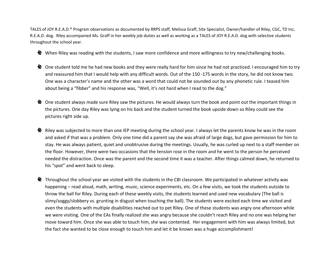TALES of JOY R.E.A.D.® Program observations as documented by RRPS staff, Melissa Graff, Site Specialist, Owner/handler of Riley, CGC, TD Inc, R.E.A.D. dog. Riley accompanied Ms. Graff in her weekly job duties as well as working as <sup>a</sup> TALES of JOY R.E.A.D. dog with selective students throughout the school year.

- When Riley was reading with the students, I saw more confidence and more willingness to try new/challenging books.
- One student told me he had new books and they were really hard for him since he had not practiced. I encouraged him to try and reassured him that I would help with any difficult words. Out of the 150 ‐175 words in the story, he did not know two. One was <sup>a</sup> character's name and the other was <sup>a</sup> word that could not be sounded out by any phonetic rule. I teased him about being <sup>a</sup> "fibber" and his response was, "Well, it's not hard when I read to the dog."
- One student always made sure Riley saw the pictures. He would always turn the book and point out the important things in the pictures. One day Riley was lying on his back and the student turned the book upside down so Riley could see the pictures right side up.
- $\ddot{\mathbf{\hat{x}}}$  Riley was subjected to more than one IEP meeting during the school year. I always let the parents know he was in the room and asked if that was <sup>a</sup> problem. Only one time did <sup>a</sup> parent say she was afraid of large dogs, but gave permission for him to stay. He was always patient, quiet and unobtrusive during the meetings. Usually, he was curled up next to <sup>a</sup> staff member on the floor. However, there were two occasions that the tension rose in the room and he went to the person he perceived needed the distraction. Once was the parent and the second time it was <sup>a</sup> teacher. After things calmed down, he returned to his "spot" and went back to sleep.
- $\clubsuit$  Throughout the school year we visited with the students in the CBI classroom. We participated in whatever activity was happening – read aloud, math, writing, music, science experiments, etc. On <sup>a</sup> few visits, we took the students outside to throw the ball for Riley. During each of these weekly visits, the students learned and used new vocabulary (The ball is slimy/soggy/slobbery vs. grunting in disgust when touching the ball). The students were excited each time we visited and even the students with multiple disabilities reached out to pet Riley. One of these students was angry one afternoon while we were visiting. One of the EAs finally realized she was angry because she couldn't reach Riley and no one was helping her move toward him. Once she was able to touch him, she was contented. Her engagement with him was always limited, but the fact she wanted to be close enough to touch him and let it be known was <sup>a</sup> huge accomplishment!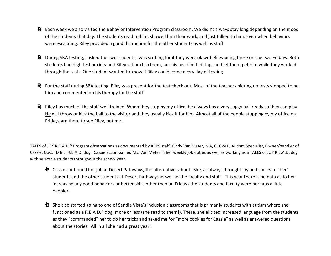- Each week we also visited the Behavior Intervention Program classroom. We didn't always stay long depending on the mood of the students that day. The students read to him, showed him their work, and just talked to him. Even when behaviors were escalating, Riley provided <sup>a</sup> good distraction for the other students as well as staff.
- <u><sup>•</sup> During SBA testing</u>, I asked the two students I was scribing for if they were ok with Riley being there on the two Fridays. Both students had high test anxiety and Riley sat next to them, put his head in their laps and let them pet him while they worked through the tests. One student wanted to know if Riley could come every day of testing.
- For the staff during SBA testing, Riley was present for the test check out. Most of the teachers picking up tests stopped to pet him and commented on his therapy for the staff.
- $\clubsuit$  Riley has much of the staff well trained. When they stop by my office, he always has a very soggy ball ready so they can play. <u>He</u> will throw or kick the ball to the visitor and they usually kick it for him. Almost all of the people stopping by my office on Fridays are there to see Riley, not me.

TALES of JOY R.E.A.D.® Program observations as documented by RRPS staff, Cindy Van Meter, MA, CCC‐SLP, Autism Specialist, Owner/handler of Cassie, CGC, TD Inc, R.E.A.D. dog. Cassie accompanied Ms. Van Meter in her weekly job duties as well as working as <sup>a</sup> TALES of JOY R.E.A.D. dog with selective students throughout the school year.

- Cassie continued her job at Desert Pathways, the alternative school. She, as always, brought joy and smiles to "her" students and the other students at Desert Pathways as well as the faculty and staff. This year there is no data as to her increasing any good behaviors or better skills other than on Fridays the students and faculty were perhaps <sup>a</sup> little happier.
- She also started going to one of Sandia Vista's inclusion classrooms that is primarily students with autism where she functioned as <sup>a</sup> R.E.A.D.® dog, more or less (she read to them!). There, she elicited increased language from the students as they "commanded" her to do her tricks and asked me for "more cookies for Cassie" as well as answered questions about the stories. All in all she had <sup>a</sup> great year!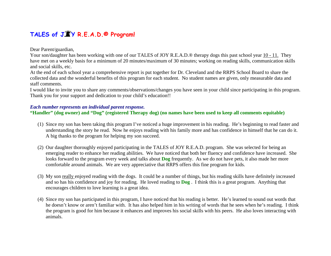### **TALES of J Y R.E.A.D.® Program!**

#### Dear Parent/guardian,

Your son/daughter has been working with one of our TALES of JOY R.E.A.D.® therapy dogs this past school year 10 - 11. They have met on a weekly basis for a minimum of 20 minutes/maximum of 30 minutes; working on reading skills, communication skills and social skills, etc.

At the end of each school year a comprehensive report is put together for Dr. Cleveland and the RRPS School Board to share the collected data and the wonderful benefits of this program for each student. No student names are given, only measurable data and staff comments.

I would like to invite you to share any comments/observations/changes you have seen in your child since participating in this program. Thank you for your support and dedication to your child's education!!

#### *Each number represents an individual parent response.*

#### **"Handler" (dog owner) and "Dog" (registered Therapy dog) (no names have been used to keep all comments equitable)**

- (1) Since my son has been taking this program I've noticed a huge improvement in his reading. He's beginning to read faster and understanding the story he read. Now he enjoys reading with his family more and has confidence in himself that he can do it. A big thanks to the program for helping my son succeed.
- (2) Our daughter thoroughly enjoyed participating in the TALES of JOY R.E.A.D. program. She was selected for being an emerging reader to enhance her reading abilities. We have noticed that both her fluency and confidence have increased. She looks forward to the program every week and talks about **Dog** frequently. As we do not have pets, it also made her more comfortable around animals. We are very appreciative that RRPS offers this fine program for kids.
- (3) My son really enjoyed reading with the dogs. It could be a number of things, but his reading skills have definitely increased and so has his confidence and joy for reading. He loved reading to **Dog** . I think this is a great program. Anything that encourages children to love learning is a great idea.
- (4) Since my son has participated in this program, I have noticed that his reading is better. He's learned to sound out words that he doesn't know or aren't familiar with. It has also helped him in his writing of words that he sees when he's reading. I think the program is good for him because it enhances and improves his social skills with his peers. He also loves interacting with animals.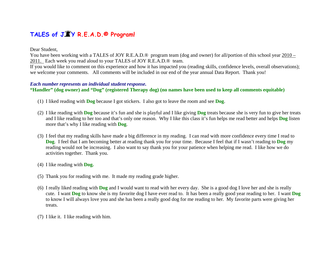### **TALES of J Y R.E.A.D.® Program!**

#### Dear Student,

You have been working with a TALES of JOY R.E.A.D.® program team (dog and owner) for all/portion of this school year 2010 – 2011. Each week you read aloud to your TALES of JOY R.E.A.D.® team.

If you would like to comment on this experience and how it has impacted you (reading skills, confidence levels, overall observations); we welcome your comments. All comments will be included in our end of the year annual Data Report. Thank you!

#### *Each number represents an individual student response.*

**"Handler" (dog owner) and "Dog" (registered Therapy dog) (no names have been used to keep all comments equitable)** 

- (1) I liked reading with **Dog** because I got stickers. I also got to leave the room and see **Dog**.
- (2) I like reading with **Dog** because it's fun and she is playful and I like giving **Dog** treats because she is very fun to give her treats and I like reading to her too and that's only one reason. Why I like this class it's fun helps me read better and helps **Dog** listen more that's why I like reading with **Dog**.
- (3) I feel that my reading skills have made a big difference in my reading. I can read with more confidence every time I read to **Dog**. I feel that I am becoming better at reading thank you for your time. Because I feel that if I wasn't reading to **Dog** my reading would not be increasing. I also want to say thank you for your patience when helping me read. I like how we do activities together. Thank you.
- (4) I like reading with **Dog.**
- (5) Thank you for reading with me. It made my reading grade higher.
- (6) I really liked reading with **Dog** and I would want to read with her every day. She is a good dog I love her and she is really cute. I want **Dog** to know she is my favorite dog I have ever read to. It has been a really good year reading to her. I want **Dog** to know I will always love you and she has been a really good dog for me reading to her. My favorite parts were giving her treats.
- (7) I like it. I like reading with him.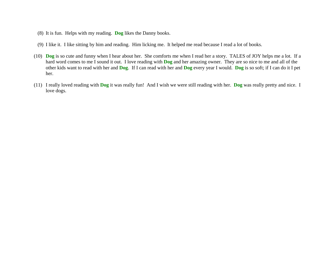- (8) It is fun. Helps with my reading. **Dog** likes the Danny books.
- (9) I like it. I like sitting by him and reading. Him licking me. It helped me read because I read a lot of books.
- (10) **Dog** is so cute and funny when I hear about her. She comforts me when I read her a story. TALES of JOY helps me a lot. If a hard word comes to me I sound it out. I love reading with **Dog** and her amazing owner. They are so nice to me and all of the other kids want to read with her and **Dog**. If I can read with her and **Dog** every year I would. **Dog** is so soft; if I can do it I pet her.
- (11) I really loved reading with **Dog** it was really fun! And I wish we were still reading with her. **Dog** was really pretty and nice. I love dogs.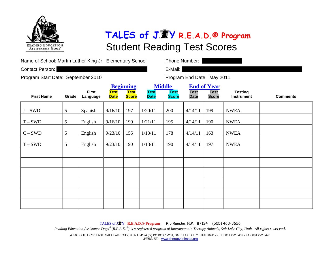

| Name of School: Martin Luther King Jr. Elementary School |  |  |
|----------------------------------------------------------|--|--|
|----------------------------------------------------------|--|--|

Contact Person: **E-Mail: Contact Person: E-Mail: E-Mail: E-Mail: E-Mail: E-Mail: E-Mail: E-Mail: E-Mail: E-Mail: E-Mail: E-Mail: E-Mail: E-Mail: E-Mail: E-Mail: E-Mail: E-Mail: E-Mail:** 

Phone Number:  $\parallel$ 

Program Start Date: September 2010 Program End Date: May 2011

|                   |                 |                          |                            | <b>Beginning</b>            | <b>Middle</b><br><b>End of Year</b> |                             |                            |                             |                                     |                 |
|-------------------|-----------------|--------------------------|----------------------------|-----------------------------|-------------------------------------|-----------------------------|----------------------------|-----------------------------|-------------------------------------|-----------------|
| <b>First Name</b> | Grade           | <b>First</b><br>Language | <b>Test</b><br><b>Date</b> | <b>Test</b><br><b>Score</b> | <b>Test</b><br><b>Date</b>          | <b>Test</b><br><b>Score</b> | <b>Test</b><br><b>Date</b> | <b>Test</b><br><b>Score</b> | <b>Testing</b><br><b>Instrument</b> | <b>Comments</b> |
| $J-SWD$           | $5\overline{)}$ | Spanish                  | 9/16/10                    | 197                         | 1/20/11                             | 200                         | 4/14/11                    | 199                         | <b>NWEA</b>                         |                 |
| $T-SWD$           | 5 <sup>5</sup>  | English                  | 9/16/10                    | 199                         | 1/21/11                             | 195                         | 4/14/11                    | 190                         | <b>NWEA</b>                         |                 |
| $C-SWD$           | $\mathfrak{S}$  | English                  | 9/23/10                    | 155                         | 1/13/11                             | 178                         | 4/14/11                    | 163                         | <b>NWEA</b>                         |                 |
| $T-SWD$           | 5 <sup>5</sup>  | English                  | 9/23/10                    | 190                         | 1/13/11                             | 190                         | 4/14/11                    | 197                         | <b>NWEA</b>                         |                 |
|                   |                 |                          |                            |                             |                                     |                             |                            |                             |                                     |                 |
|                   |                 |                          |                            |                             |                                     |                             |                            |                             |                                     |                 |
|                   |                 |                          |                            |                             |                                     |                             |                            |                             |                                     |                 |
|                   |                 |                          |                            |                             |                                     |                             |                            |                             |                                     |                 |
|                   |                 |                          |                            |                             |                                     |                             |                            |                             |                                     |                 |
|                   |                 |                          |                            |                             |                                     |                             |                            |                             |                                     |                 |

TALES of J <sup>Y</sup>**R.E.A.D.® Program** Rio Rancho, NM 87124 (505) 463-3626

*Reading Education Assistance Dogs*® *(R.E.A.D.*® *) is a registered program of Intermountain Therapy Animals, Salt Lake City, Utah. All rights reserved.*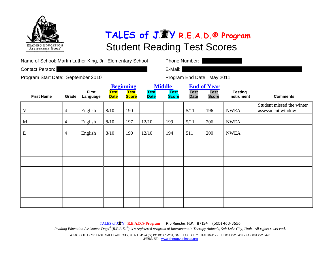

| Name of School: Martin Luther King, Jr. Elementary School |  |
|-----------------------------------------------------------|--|
|-----------------------------------------------------------|--|

Contact Person: **E-Mail: Contact Person: E-Mail: E-Mail: E-Mail: E-Mail: E-Mail: E-Mail: E-Mail: E-Mail: E-Mail: E-Mail: E-Mail: E-Mail: E-Mail: E-Mail: E-Mail: E-Mail: E-Mail: E-Mail:** 

Phone Number:  $\parallel$ 

Program Start Date: September 2010 Program End Date: May 2011

|                   |                |                          |                            | <b>Beginning</b>     | <b>Middle</b>              |                             | <b>End of Year</b>         |                             |                              |                                                |
|-------------------|----------------|--------------------------|----------------------------|----------------------|----------------------------|-----------------------------|----------------------------|-----------------------------|------------------------------|------------------------------------------------|
| <b>First Name</b> | Grade          | <b>First</b><br>Language | <b>Test</b><br><b>Date</b> | Test<br><b>Score</b> | <b>Test</b><br><b>Date</b> | <b>Test</b><br><b>Score</b> | <b>Test</b><br><b>Date</b> | <b>Test</b><br><b>Score</b> | <b>Testing</b><br>Instrument | <b>Comments</b>                                |
| V                 | $\overline{4}$ | English                  | 8/10                       | 190                  |                            |                             | 5/11                       | 196                         | <b>NWEA</b>                  | Student missed the winter<br>assessment window |
| M                 | $\overline{4}$ | English                  | 8/10                       | 197                  | 12/10                      | 199                         | 5/11                       | 206                         | <b>NWEA</b>                  |                                                |
| ${\bf E}$         | $\overline{4}$ | English                  | 8/10                       | 190                  | 12/10                      | 194                         | 511                        | 200                         | <b>NWEA</b>                  |                                                |
|                   |                |                          |                            |                      |                            |                             |                            |                             |                              |                                                |
|                   |                |                          |                            |                      |                            |                             |                            |                             |                              |                                                |
|                   |                |                          |                            |                      |                            |                             |                            |                             |                              |                                                |
|                   |                |                          |                            |                      |                            |                             |                            |                             |                              |                                                |
|                   |                |                          |                            |                      |                            |                             |                            |                             |                              |                                                |
|                   |                |                          |                            |                      |                            |                             |                            |                             |                              |                                                |
|                   |                |                          |                            |                      |                            |                             |                            |                             |                              |                                                |

TALES of J <sup>Y</sup>**R.E.A.D.® Program** Rio Rancho, NM 87124 (505) 463-3626

*Reading Education Assistance Dogs*® *(R.E.A.D.*® *) is a registered program of Intermountain Therapy Animals, Salt Lake City, Utah. All rights reserved.*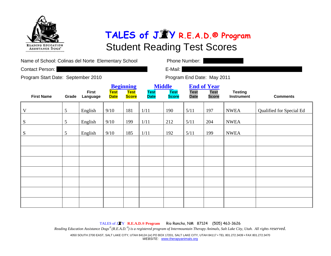

| Name of School: Colinas del Norte Elementary School |                 |                          |                            |                                                 |                            | Phone Number:                                |                            |                                                   |                                     |                          |  |
|-----------------------------------------------------|-----------------|--------------------------|----------------------------|-------------------------------------------------|----------------------------|----------------------------------------------|----------------------------|---------------------------------------------------|-------------------------------------|--------------------------|--|
| Contact Person:                                     |                 |                          |                            |                                                 |                            | E-Mail:                                      |                            |                                                   |                                     |                          |  |
| Program Start Date: September 2010                  |                 |                          |                            |                                                 |                            |                                              |                            | Program End Date: May 2011                        |                                     |                          |  |
| <b>First Name</b>                                   | Grade           | <b>First</b><br>Language | <b>Test</b><br><b>Date</b> | <b>Beginning</b><br><b>Test</b><br><b>Score</b> | <b>Test</b><br><b>Date</b> | <b>Middle</b><br><b>Test</b><br><b>Score</b> | <b>Test</b><br><b>Date</b> | <b>End of Year</b><br><b>Test</b><br><b>Score</b> | <b>Testing</b><br><b>Instrument</b> | <b>Comments</b>          |  |
| V                                                   | $\mathfrak{S}$  | English                  | 9/10                       | 181                                             | 1/11                       | 190                                          | 5/11                       | 197                                               | <b>NWEA</b>                         | Qualified for Special Ed |  |
| ${\bf S}$                                           | $5\overline{)}$ | English                  | 9/10                       | 199                                             | 1/11                       | 212                                          | 5/11                       | 204                                               | <b>NWEA</b>                         |                          |  |
| S                                                   | $\mathfrak{H}$  | English                  | 9/10                       | 185                                             | 1/11                       | 192                                          | 5/11                       | 199                                               | <b>NWEA</b>                         |                          |  |
|                                                     |                 |                          |                            |                                                 |                            |                                              |                            |                                                   |                                     |                          |  |
|                                                     |                 |                          |                            |                                                 |                            |                                              |                            |                                                   |                                     |                          |  |
|                                                     |                 |                          |                            |                                                 |                            |                                              |                            |                                                   |                                     |                          |  |
|                                                     |                 |                          |                            |                                                 |                            |                                              |                            |                                                   |                                     |                          |  |
|                                                     |                 |                          |                            |                                                 |                            |                                              |                            |                                                   |                                     |                          |  |
|                                                     |                 |                          |                            |                                                 |                            |                                              |                            |                                                   |                                     |                          |  |

TALES of J <sup>Y</sup>**R.E.A.D.® Program** Rio Rancho, NM 87124 (505) 463-3626 *Reading Education Assistance Dogs*® *(R.E.A.D.*® *) is a registered program of Intermountain Therapy Animals, Salt Lake City, Utah. All rights reserved.*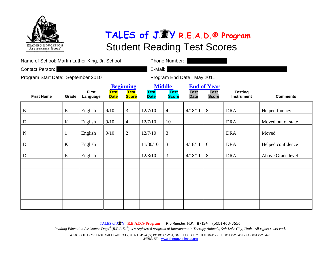

| Name of School: Martin Luther King, Jr. School |         |                          |                            |                                                 |                            | Phone Number:                                |                            |                                                   |                                     |                    |
|------------------------------------------------|---------|--------------------------|----------------------------|-------------------------------------------------|----------------------------|----------------------------------------------|----------------------------|---------------------------------------------------|-------------------------------------|--------------------|
| Contact Person:                                |         |                          |                            |                                                 | E-Mail:                    |                                              |                            |                                                   |                                     |                    |
| Program Start Date: September 2010             |         |                          |                            |                                                 | Program End Date: May 2011 |                                              |                            |                                                   |                                     |                    |
| <b>First Name</b>                              | Grade   | <b>First</b><br>Language | <b>Test</b><br><b>Date</b> | <b>Beginning</b><br><b>Test</b><br><b>Score</b> | <b>Test</b><br><b>Date</b> | <b>Middle</b><br><b>Test</b><br><b>Score</b> | <b>Test</b><br><b>Date</b> | <b>End of Year</b><br><b>Test</b><br><b>Score</b> | <b>Testing</b><br><b>Instrument</b> | <b>Comments</b>    |
| ${\bf E}$                                      | $\bf K$ | English                  | 9/10                       | 3                                               | 12/7/10                    | $\overline{4}$                               | 4/18/11                    | 8                                                 | <b>DRA</b>                          | Helped fluency     |
| D                                              | $\bf K$ | English                  | 9/10                       | $\overline{4}$                                  | 12/7/10                    | 10                                           |                            |                                                   | <b>DRA</b>                          | Moved out of state |
| ${\bf N}$                                      |         | English                  | 9/10                       | $\overline{2}$                                  | 12/7/10                    | $\mathfrak{Z}$                               |                            |                                                   | <b>DRA</b>                          | Moved              |
| D                                              | K       | English                  |                            |                                                 | 11/30/10                   | $\mathfrak{Z}$                               | 4/18/11                    | $6\,$                                             | <b>DRA</b>                          | Helped confidence  |
| D                                              | K       | English                  |                            |                                                 | 12/3/10                    | $\mathfrak{Z}$                               | 4/18/11                    | 8                                                 | <b>DRA</b>                          | Above Grade level  |
|                                                |         |                          |                            |                                                 |                            |                                              |                            |                                                   |                                     |                    |
|                                                |         |                          |                            |                                                 |                            |                                              |                            |                                                   |                                     |                    |
|                                                |         |                          |                            |                                                 |                            |                                              |                            |                                                   |                                     |                    |
|                                                |         |                          |                            |                                                 |                            |                                              |                            |                                                   |                                     |                    |
|                                                |         |                          |                            |                                                 |                            |                                              |                            |                                                   |                                     |                    |

TALES of J <sup>Y</sup>**R.E.A.D.® Program** Rio Rancho, NM 87124 (505) 463-3626

*Reading Education Assistance Dogs*® *(R.E.A.D.*® *) is a registered program of Intermountain Therapy Animals, Salt Lake City, Utah. All rights reserved.*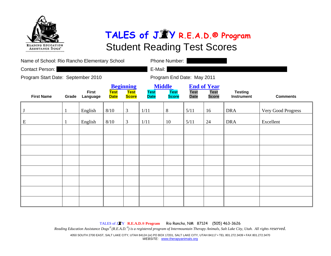

| Name of School: Rio Rancho Elementary School |       |                          |                            |                                                 |                            | Phone Number:                                |                            |                                                   |                                     |                    |
|----------------------------------------------|-------|--------------------------|----------------------------|-------------------------------------------------|----------------------------|----------------------------------------------|----------------------------|---------------------------------------------------|-------------------------------------|--------------------|
| Contact Person:                              |       |                          |                            | E-Mail:                                         |                            |                                              |                            |                                                   |                                     |                    |
| Program Start Date: September 2010           |       |                          |                            |                                                 | Program End Date: May 2011 |                                              |                            |                                                   |                                     |                    |
| <b>First Name</b>                            | Grade | <b>First</b><br>Language | <b>Test</b><br><b>Date</b> | <b>Beginning</b><br><b>Test</b><br><b>Score</b> | <b>Test</b><br><b>Date</b> | <b>Middle</b><br><b>Test</b><br><b>Score</b> | <b>Test</b><br><b>Date</b> | <b>End of Year</b><br><b>Test</b><br><b>Score</b> | <b>Testing</b><br><b>Instrument</b> | <b>Comments</b>    |
|                                              | 1     | English                  | $8/10$                     | 3                                               | 1/11                       | 8                                            | 5/11                       | 16                                                | <b>DRA</b>                          | Very Good Progress |
| E                                            | 1     | English                  | 8/10                       | 3                                               | 1/11                       | 10                                           | 5/11                       | 24                                                | <b>DRA</b>                          | Excellent          |
|                                              |       |                          |                            |                                                 |                            |                                              |                            |                                                   |                                     |                    |
|                                              |       |                          |                            |                                                 |                            |                                              |                            |                                                   |                                     |                    |
|                                              |       |                          |                            |                                                 |                            |                                              |                            |                                                   |                                     |                    |
|                                              |       |                          |                            |                                                 |                            |                                              |                            |                                                   |                                     |                    |
|                                              |       |                          |                            |                                                 |                            |                                              |                            |                                                   |                                     |                    |
|                                              |       |                          |                            |                                                 |                            |                                              |                            |                                                   |                                     |                    |
|                                              |       |                          |                            |                                                 |                            |                                              |                            |                                                   |                                     |                    |
|                                              |       |                          |                            |                                                 |                            |                                              |                            |                                                   |                                     |                    |

TALES of J <sup>Y</sup>**R.E.A.D.® Program** Rio Rancho, NM 87124 (505) 463-3626 *Reading Education Assistance Dogs*® *(R.E.A.D.*® *) is a registered program of Intermountain Therapy Animals, Salt Lake City, Utah. All rights reserved.*  4050 SOUTH 2700 EAST, SALT LAKE CITY, UTAH 84124 (or) PO BOX 17201, SALT LAKE CITY, UTAH 84117 • TEL 801.272.3439 • FAX 801.272.3470 *WEBSITE:* www.therapyanimals.org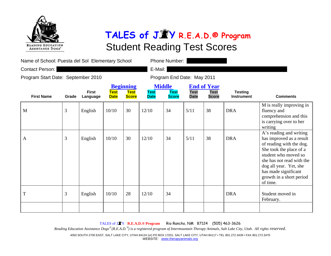

| Name of School: Puesta del Sol Elementary School |       |                          |                            | Phone Number:                                   |                            |                                              |                            |                                                   |                                     |                                                                                                                                                                                                                                                           |
|--------------------------------------------------|-------|--------------------------|----------------------------|-------------------------------------------------|----------------------------|----------------------------------------------|----------------------------|---------------------------------------------------|-------------------------------------|-----------------------------------------------------------------------------------------------------------------------------------------------------------------------------------------------------------------------------------------------------------|
| Contact Person:                                  |       |                          |                            |                                                 | E-Mail:                    |                                              |                            |                                                   |                                     |                                                                                                                                                                                                                                                           |
| Program Start Date: September 2010               |       |                          |                            |                                                 |                            | Program End Date: May 2011                   |                            |                                                   |                                     |                                                                                                                                                                                                                                                           |
| <b>First Name</b>                                | Grade | <b>First</b><br>Language | <b>Test</b><br><b>Date</b> | <b>Beginning</b><br><b>Test</b><br><b>Score</b> | <b>Test</b><br><b>Date</b> | <b>Middle</b><br><b>Test</b><br><b>Score</b> | <b>Test</b><br><b>Date</b> | <b>End of Year</b><br><b>Test</b><br><b>Score</b> | <b>Testing</b><br><b>Instrument</b> | <b>Comments</b>                                                                                                                                                                                                                                           |
| M                                                | 3     | English                  | 10/10                      | 30                                              | 12/10                      | 34                                           | 5/11                       | 38                                                | <b>DRA</b>                          | M is really improving in<br>fluency and<br>comprehension and this<br>is carrying over to her<br>writing                                                                                                                                                   |
| $\mathbf{A}$                                     | 3     | English                  | 10/10                      | 30                                              | 12/10                      | 34                                           | 5/11                       | 38                                                | <b>DRA</b>                          | A's reading and writing<br>has improved as a result<br>of reading with the dog.<br>She took the place of a<br>student who moved so<br>she has not read with the<br>dog all year. Yet, she<br>has made significant<br>growth in a short period<br>of time. |
| T                                                | 3     | English                  | 10/10                      | 28                                              | 12/10                      | 34                                           |                            |                                                   | <b>DRA</b>                          | Student moved in<br>February.                                                                                                                                                                                                                             |
|                                                  |       |                          |                            |                                                 |                            |                                              |                            |                                                   |                                     |                                                                                                                                                                                                                                                           |

TALES of J <sup>Y</sup>**R.E.A.D.® Program** Rio Rancho, NM 87124 (505) 463-3626

*Reading Education Assistance Dogs*® *(R.E.A.D.*® *) is a registered program of Intermountain Therapy Animals, Salt Lake City, Utah. All rights reserved.*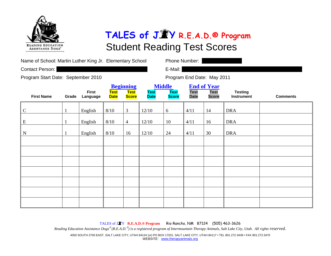

Contact Person: **E-Mail: Contact Person: E-Mail: E-Mail: E-Mail: E-Mail: E-Mail: E-Mail: E-Mail: E-Mail: E-Mail: E-Mail: E-Mail: E-Mail: E-Mail: E-Mail: E-Mail: E-Mail: E-Mail: E-Mail:** 

Phone Number:  $\parallel$ 

Program Start Date: September 2010 Program End Date: May 2011

|                   |       |                          |                     | <b>Beginning</b>     |                            | <b>Middle</b>               | <b>End of Year</b>         |                             |                              |                 |
|-------------------|-------|--------------------------|---------------------|----------------------|----------------------------|-----------------------------|----------------------------|-----------------------------|------------------------------|-----------------|
| <b>First Name</b> | Grade | <b>First</b><br>Language | Test<br><b>Date</b> | Test<br><b>Score</b> | <b>Test</b><br><b>Date</b> | <b>Test</b><br><b>Score</b> | <b>Test</b><br><b>Date</b> | <b>Test</b><br><b>Score</b> | <b>Testing</b><br>Instrument | <b>Comments</b> |
| $\mathbf C$       |       | English                  | 8/10                | 3                    | 12/10                      | 6                           | 4/11                       | 14                          | <b>DRA</b>                   |                 |
| ${\bf E}$         |       | English                  | 8/10                | $\overline{4}$       | 12/10                      | 10                          | 4/11                       | 16                          | <b>DRA</b>                   |                 |
| ${\bf N}$         |       | English                  | 8/10                | 16                   | 12/10                      | 24                          | 4/11                       | 30                          | <b>DRA</b>                   |                 |
|                   |       |                          |                     |                      |                            |                             |                            |                             |                              |                 |
|                   |       |                          |                     |                      |                            |                             |                            |                             |                              |                 |
|                   |       |                          |                     |                      |                            |                             |                            |                             |                              |                 |
|                   |       |                          |                     |                      |                            |                             |                            |                             |                              |                 |
|                   |       |                          |                     |                      |                            |                             |                            |                             |                              |                 |
|                   |       |                          |                     |                      |                            |                             |                            |                             |                              |                 |
|                   |       |                          |                     |                      |                            |                             |                            |                             |                              |                 |

TALES of J <sup>Y</sup>**R.E.A.D.® Program** Rio Rancho, NM 87124 (505) 463-3626

*Reading Education Assistance Dogs*® *(R.E.A.D.*® *) is a registered program of Intermountain Therapy Animals, Salt Lake City, Utah. All rights reserved.*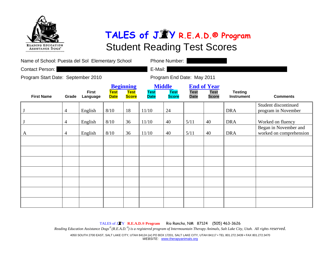

| Name of School: Puesta del Sol Elementary School |                |                          |                            |                                                 |                            | Phone Number:                                |                            |                                                   |                                     |                                                  |
|--------------------------------------------------|----------------|--------------------------|----------------------------|-------------------------------------------------|----------------------------|----------------------------------------------|----------------------------|---------------------------------------------------|-------------------------------------|--------------------------------------------------|
| Contact Person:                                  |                |                          |                            |                                                 | E-Mail:                    |                                              |                            |                                                   |                                     |                                                  |
| Program Start Date: September 2010               |                |                          |                            |                                                 |                            | Program End Date: May 2011                   |                            |                                                   |                                     |                                                  |
| <b>First Name</b>                                | Grade          | <b>First</b><br>Language | <b>Test</b><br><b>Date</b> | <b>Beginning</b><br><b>Test</b><br><b>Score</b> | <b>Test</b><br><b>Date</b> | <b>Middle</b><br><b>Test</b><br><b>Score</b> | <b>Test</b><br><b>Date</b> | <b>End of Year</b><br><b>Test</b><br><b>Score</b> | <b>Testing</b><br><b>Instrument</b> | <b>Comments</b>                                  |
|                                                  | $\overline{4}$ | English                  | 8/10                       | 18                                              | 11/10                      | 24                                           |                            |                                                   | <b>DRA</b>                          | Student discontinued<br>program in November      |
|                                                  | $\overline{4}$ | English                  | 8/10                       | 36                                              | 11/10                      | 40                                           | 5/11                       | 40                                                | <b>DRA</b>                          | Worked on fluency                                |
| A                                                | $\overline{4}$ | English                  | 8/10                       | 36                                              | 11/10                      | 40                                           | 5/11                       | 40                                                | <b>DRA</b>                          | Began in November and<br>worked on comprehension |
|                                                  |                |                          |                            |                                                 |                            |                                              |                            |                                                   |                                     |                                                  |
|                                                  |                |                          |                            |                                                 |                            |                                              |                            |                                                   |                                     |                                                  |
|                                                  |                |                          |                            |                                                 |                            |                                              |                            |                                                   |                                     |                                                  |
|                                                  |                |                          |                            |                                                 |                            |                                              |                            |                                                   |                                     |                                                  |
|                                                  |                |                          |                            |                                                 |                            |                                              |                            |                                                   |                                     |                                                  |
|                                                  |                |                          |                            |                                                 |                            |                                              |                            |                                                   |                                     |                                                  |
|                                                  |                |                          |                            |                                                 |                            |                                              |                            |                                                   |                                     |                                                  |

TALES of J <sup>Y</sup>**R.E.A.D.® Program** Rio Rancho, NM 87124 (505) 463-3626

*Reading Education Assistance Dogs*® *(R.E.A.D.*® *) is a registered program of Intermountain Therapy Animals, Salt Lake City, Utah. All rights reserved.*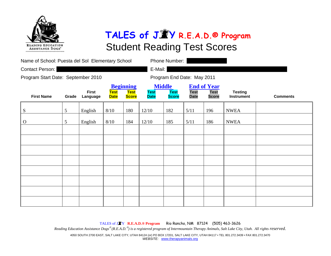

| Name of School: Puesta del Sol Elementary School |                |                          |                            |                                                 | Phone Number:              |                                              |                            |                                                   |                                     |                 |
|--------------------------------------------------|----------------|--------------------------|----------------------------|-------------------------------------------------|----------------------------|----------------------------------------------|----------------------------|---------------------------------------------------|-------------------------------------|-----------------|
| Contact Person:                                  |                |                          |                            |                                                 | E-Mail:                    |                                              |                            |                                                   |                                     |                 |
| Program Start Date: September 2010               |                |                          |                            |                                                 |                            | Program End Date: May 2011                   |                            |                                                   |                                     |                 |
| <b>First Name</b>                                | Grade          | <b>First</b><br>Language | <b>Test</b><br><b>Date</b> | <b>Beginning</b><br><b>Test</b><br><b>Score</b> | <b>Test</b><br><b>Date</b> | <b>Middle</b><br><b>Test</b><br><b>Score</b> | <b>Test</b><br><b>Date</b> | <b>End of Year</b><br><b>Test</b><br><b>Score</b> | <b>Testing</b><br><b>Instrument</b> | <b>Comments</b> |
| ${\bf S}$                                        | $\overline{5}$ | English                  | 8/10                       | 180                                             | 12/10                      | 182                                          | 5/11                       | 196                                               | <b>NWEA</b>                         |                 |
| $\mathbf{O}$                                     | 5              | English                  | 8/10                       | 184                                             | 12/10                      | 185                                          | 5/11                       | 186                                               | <b>NWEA</b>                         |                 |
|                                                  |                |                          |                            |                                                 |                            |                                              |                            |                                                   |                                     |                 |
|                                                  |                |                          |                            |                                                 |                            |                                              |                            |                                                   |                                     |                 |
|                                                  |                |                          |                            |                                                 |                            |                                              |                            |                                                   |                                     |                 |
|                                                  |                |                          |                            |                                                 |                            |                                              |                            |                                                   |                                     |                 |
|                                                  |                |                          |                            |                                                 |                            |                                              |                            |                                                   |                                     |                 |
|                                                  |                |                          |                            |                                                 |                            |                                              |                            |                                                   |                                     |                 |
|                                                  |                |                          |                            |                                                 |                            |                                              |                            |                                                   |                                     |                 |
|                                                  |                |                          |                            |                                                 |                            |                                              |                            |                                                   |                                     |                 |

TALES of J <sup>Y</sup>**R.E.A.D.® Program** Rio Rancho, NM 87124 (505) 463-3626 *Reading Education Assistance Dogs*® *(R.E.A.D.*® *) is a registered program of Intermountain Therapy Animals, Salt Lake City, Utah. All rights reserved.*  4050 SOUTH 2700 EAST, SALT LAKE CITY, UTAH 84124 (or) PO BOX 17201, SALT LAKE CITY, UTAH 84117 • TEL 801.272.3439 • FAX 801.272.3470 *WEBSITE:* www.therapyanimals.org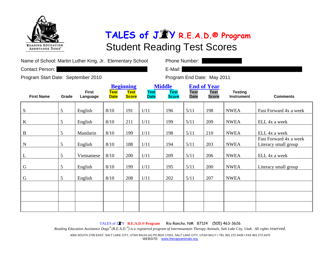

| Name of School: Martin Luther King, Jr. Elementary School |
|-----------------------------------------------------------|
|                                                           |

Contact Person: **E-Mail: Contact Person: E-Mail: E-Mail: E-Mail: E-Mail: E-Mail: E-Mail: E-Mail: E-Mail: E-Mail: E-Mail: E-Mail: E-Mail: E-Mail: E-Mail: E-Mail: E-Mail: E-Mail: E-Mail:** 

Phone Number:  $\parallel$ 

Program Start Date: September 2010 Program End Date: May 2011

|                   |                |                          |                     | <b>Beginning</b>     | <b>Middle</b>              |                             | <b>End of Year</b>         |                             |                                     |                                                |
|-------------------|----------------|--------------------------|---------------------|----------------------|----------------------------|-----------------------------|----------------------------|-----------------------------|-------------------------------------|------------------------------------------------|
| <b>First Name</b> | Grade          | <b>First</b><br>Language | Test<br><b>Date</b> | Test<br><b>Score</b> | <b>Test</b><br><b>Date</b> | <b>Test</b><br><b>Score</b> | <b>Test</b><br><b>Date</b> | <b>Test</b><br><b>Score</b> | <b>Testing</b><br><b>Instrument</b> | <b>Comments</b>                                |
| ${\bf S}$         | 5              | English                  | 8/10                | 191                  | 1/11                       | 196                         | 5/11                       | 198                         | <b>NWEA</b>                         | Fast Forward 4x a week                         |
| $\bf K$           | $\mathfrak{S}$ | English                  | 8/10                | 211                  | 1/11                       | 199                         | 5/11                       | 209                         | <b>NWEA</b>                         | ELL 4x a week                                  |
| $\, {\bf B}$      | 5              | Mandarin                 | 8/10                | 199                  | 1/11                       | 198                         | 5/11                       | 210                         | <b>NWEA</b>                         | ELL 4x a week                                  |
| $\mathbf N$       | 5              | English                  | 8/10                | 188                  | 1/11                       | 194                         | 5/11                       | 203                         | <b>NWEA</b>                         | Fast Forward 4x a week<br>Literacy small group |
| $\mathbf{L}$      | 5              | Vietnamese               | 8/10                | 200                  | 1/11                       | 209                         | 5/11                       | 206                         | <b>NWEA</b>                         | ELL 4x a week                                  |
| ${\bf G}$         | 5              | English                  | 8/10                | 199                  | 1/11                       | 195                         | 5/11                       | 200                         | <b>NWEA</b>                         | Literacy small group                           |
| $\mathbf G$       | 5              | English                  | 8/10                | 208                  | 1/11                       | 202                         | 5/11                       | 207                         | <b>NWEA</b>                         |                                                |
|                   |                |                          |                     |                      |                            |                             |                            |                             |                                     |                                                |
|                   |                |                          |                     |                      |                            |                             |                            |                             |                                     |                                                |
|                   |                |                          |                     |                      |                            |                             |                            |                             |                                     |                                                |

TALES of J <sup>Y</sup>**R.E.A.D.® Program** Rio Rancho, NM 87124 (505) 463-3626

*Reading Education Assistance Dogs*® *(R.E.A.D.*® *) is a registered program of Intermountain Therapy Animals, Salt Lake City, Utah. All rights reserved.*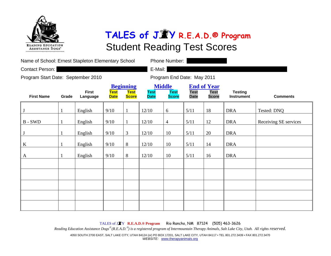

| Name of School: Ernest Stapleton Elementary School |       |                          |                            |                                                 | Phone Number:              |                                              |                            |                                                   |                                     |                       |  |
|----------------------------------------------------|-------|--------------------------|----------------------------|-------------------------------------------------|----------------------------|----------------------------------------------|----------------------------|---------------------------------------------------|-------------------------------------|-----------------------|--|
| Contact Person:                                    |       |                          |                            |                                                 | E-Mail:                    |                                              |                            |                                                   |                                     |                       |  |
| Program Start Date: September 2010                 |       |                          |                            |                                                 |                            |                                              | Program End Date: May 2011 |                                                   |                                     |                       |  |
| <b>First Name</b>                                  | Grade | <b>First</b><br>Language | <b>Test</b><br><b>Date</b> | <b>Beginning</b><br><b>Test</b><br><b>Score</b> | <b>Test</b><br><b>Date</b> | <b>Middle</b><br><b>Test</b><br><b>Score</b> | <b>Test</b><br><b>Date</b> | <b>End of Year</b><br><b>Test</b><br><b>Score</b> | <b>Testing</b><br><b>Instrument</b> | <b>Comments</b>       |  |
| J                                                  | 1     | English                  | 9/10                       |                                                 | 12/10                      | 6                                            | 5/11                       | 18                                                | <b>DRA</b>                          | Tested: DNQ           |  |
| $B - SWD$                                          |       | English                  | 9/10                       |                                                 | 12/10                      | $\overline{4}$                               | 5/11                       | 12                                                | <b>DRA</b>                          | Receiving SE services |  |
| J                                                  | 1     | English                  | 9/10                       | 3                                               | 12/10                      | 10                                           | 5/11                       | 20                                                | <b>DRA</b>                          |                       |  |
| $\bf K$                                            |       | English                  | 9/10                       | 8                                               | 12/10                      | 10                                           | 5/11                       | 14                                                | <b>DRA</b>                          |                       |  |
| A                                                  |       | English                  | 9/10                       | 8                                               | 12/10                      | 10                                           | 5/11                       | 16                                                | <b>DRA</b>                          |                       |  |
|                                                    |       |                          |                            |                                                 |                            |                                              |                            |                                                   |                                     |                       |  |
|                                                    |       |                          |                            |                                                 |                            |                                              |                            |                                                   |                                     |                       |  |
|                                                    |       |                          |                            |                                                 |                            |                                              |                            |                                                   |                                     |                       |  |
|                                                    |       |                          |                            |                                                 |                            |                                              |                            |                                                   |                                     |                       |  |
|                                                    |       |                          |                            |                                                 |                            |                                              |                            |                                                   |                                     |                       |  |

TALES of J <sup>Y</sup>**R.E.A.D.® Program** Rio Rancho, NM 87124 (505) 463-3626

*Reading Education Assistance Dogs*® *(R.E.A.D.*® *) is a registered program of Intermountain Therapy Animals, Salt Lake City, Utah. All rights reserved.*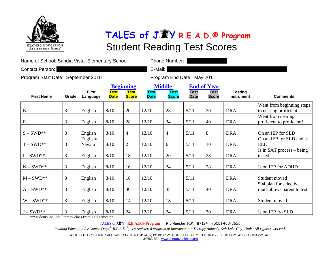

| Name of School: Sandia Vista Elementary School |                |                          |                            |                                                 |                            | Phone Number:                                |                            |                                                   |                                     |                                                      |
|------------------------------------------------|----------------|--------------------------|----------------------------|-------------------------------------------------|----------------------------|----------------------------------------------|----------------------------|---------------------------------------------------|-------------------------------------|------------------------------------------------------|
| Contact Person:                                |                |                          |                            |                                                 | E-Mail:                    |                                              |                            |                                                   |                                     |                                                      |
| Program Start Date: September 2010             |                |                          |                            |                                                 |                            |                                              | Program End Date: May 2011 |                                                   |                                     |                                                      |
| <b>First Name</b>                              | Grade          | <b>First</b><br>Language | <b>Test</b><br><b>Date</b> | <b>Beginning</b><br><b>Test</b><br><b>Score</b> | <b>Test</b><br><b>Date</b> | <b>Middle</b><br><b>Test</b><br><b>Score</b> | <b>Test</b><br><b>Date</b> | <b>End of Year</b><br><b>Test</b><br><b>Score</b> | <b>Testing</b><br><b>Instrument</b> | <b>Comments</b>                                      |
| ${\bf E}$                                      | 3              | English                  | 8/10                       | 20                                              | 12/10                      | 28                                           | 5/11                       | 30                                                | <b>DRA</b>                          | Went from beginning steps<br>to nearing proficient   |
| ${\bf E}$                                      | 3              | English                  | 8/10                       | 28                                              | 12/10                      | 34                                           | 5/11                       | 40                                                | <b>DRA</b>                          | Went from nearing<br>proficient to proficient!       |
| $S-SWD^{**}$                                   | 3              | English                  | 8/10                       | $\overline{4}$                                  | 12/10                      | $\overline{4}$                               | 5/11                       | 8                                                 | <b>DRA</b>                          | On an IEP for SLD                                    |
| $T-SWD^{**}$                                   | 3              | English/<br>Navajo       | 8/10                       | $\overline{2}$                                  | 12/10                      | 6                                            | 5/11                       | 10                                                | <b>DRA</b>                          | On an IEP for SLD and is<br><b>ELL</b>               |
| $I-SWD^{**}$                                   | 3              | English                  | $8/10$                     | 18                                              | 12/10                      | 20                                           | $5/11$                     | 28                                                | <b>DRA</b>                          | Is in SAT process $-$ being<br>tested                |
| $N-SWD^{**}$                                   | $\mathfrak{Z}$ | English                  | 8/10                       | 16                                              | 12/10                      | 24                                           | 5/11                       | 28                                                | <b>DRA</b>                          | Is on IEP for ADHD                                   |
| $M-SWD^{**}$                                   | 3              | English                  | 8/10                       | 18                                              | 12/10                      |                                              | 5/11                       |                                                   | <b>DRA</b>                          | Student moved                                        |
| $A-SWD^{**}$                                   | 3              | English                  | 8/10                       | 30                                              | 12/10                      | 38                                           | 5/11                       | 40                                                | <b>DRA</b>                          | 504 plan for selective<br>mute allows parent to test |
| $W-SWD^{**}$                                   | 3              | English                  | 8/10                       | 14                                              | 12/10                      | 18                                           | 5/11                       |                                                   | <b>DRA</b>                          | Student moved                                        |
| $J-SWD^{**}$                                   | 3              | English                  | 8/10                       | 24                                              | 12/10                      | 24                                           | 5/11                       | 30                                                | <b>DRA</b>                          | Is on IEP fro SLD                                    |

\*\*Students include literacy class from Fall semester

TALES of J <sup>Y</sup>**R.E.A.D.® Program** Rio Rancho, NM 87124 (505) 463-3626

*Reading Education Assistance Dogs*® *(R.E.A.D.*® *) is a registered program of Intermountain Therapy Animals, Salt Lake City, Utah. All rights reserved.*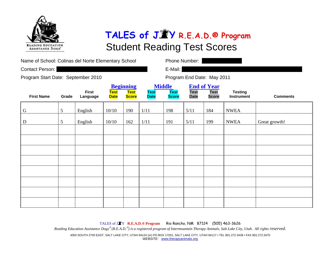

| Name of School: Colinas del Norte Elementary School<br>Contact Person: |                 |                          |                                                                               |     |                            | Phone Number:<br>E-Mail:                                                                         |      |                                                                    |             |                 |  |
|------------------------------------------------------------------------|-----------------|--------------------------|-------------------------------------------------------------------------------|-----|----------------------------|--------------------------------------------------------------------------------------------------|------|--------------------------------------------------------------------|-------------|-----------------|--|
| Program Start Date: September 2010                                     |                 |                          |                                                                               |     |                            | Program End Date: May 2011                                                                       |      |                                                                    |             |                 |  |
| <b>First Name</b>                                                      | Grade           | <b>First</b><br>Language | <b>Beginning</b><br><b>Test</b><br><b>Test</b><br><b>Score</b><br><b>Date</b> |     | <b>Test</b><br><b>Date</b> | <b>Middle</b><br><b>End of Year</b><br><b>Test</b><br><b>Test</b><br><b>Score</b><br><b>Date</b> |      | <b>Test</b><br><b>Testing</b><br><b>Score</b><br><b>Instrument</b> |             | <b>Comments</b> |  |
| G                                                                      | $\mathfrak{S}$  | English                  | 10/10                                                                         | 190 | 1/11                       | 198                                                                                              | 5/11 | 184                                                                | <b>NWEA</b> |                 |  |
| D                                                                      | $5\overline{)}$ | English                  | 10/10                                                                         | 162 | 1/11                       | 191                                                                                              | 5/11 | 199                                                                | <b>NWEA</b> | Great growth!   |  |
|                                                                        |                 |                          |                                                                               |     |                            |                                                                                                  |      |                                                                    |             |                 |  |
|                                                                        |                 |                          |                                                                               |     |                            |                                                                                                  |      |                                                                    |             |                 |  |
|                                                                        |                 |                          |                                                                               |     |                            |                                                                                                  |      |                                                                    |             |                 |  |
|                                                                        |                 |                          |                                                                               |     |                            |                                                                                                  |      |                                                                    |             |                 |  |
|                                                                        |                 |                          |                                                                               |     |                            |                                                                                                  |      |                                                                    |             |                 |  |
|                                                                        |                 |                          |                                                                               |     |                            |                                                                                                  |      |                                                                    |             |                 |  |
|                                                                        |                 |                          |                                                                               |     |                            |                                                                                                  |      |                                                                    |             |                 |  |
|                                                                        |                 |                          |                                                                               |     |                            |                                                                                                  |      |                                                                    |             |                 |  |

TALES of J <sup>Y</sup>**R.E.A.D.® Program** Rio Rancho, NM 87124 (505) 463-3626 *Reading Education Assistance Dogs*® *(R.E.A.D.*® *) is a registered program of Intermountain Therapy Animals, Salt Lake City, Utah. All rights reserved.*  4050 SOUTH 2700 EAST, SALT LAKE CITY, UTAH 84124 (or) PO BOX 17201, SALT LAKE CITY, UTAH 84117 • TEL 801.272.3439 • FAX 801.272.3470 *WEBSITE:* www.therapyanimals.org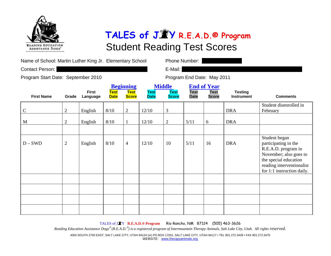

| Name of School: Martin Luther King Jr. Elementary School |
|----------------------------------------------------------|
|                                                          |

Contact Person: **E-Mail: Contact Person: E-Mail: E-Mail: E-Mail: E-Mail: E-Mail: E-Mail: E-Mail: E-Mail: E-Mail: E-Mail: E-Mail: E-Mail: E-Mail: E-Mail: E-Mail: E-Mail: E-Mail: E-Mail:** 

Phone Number:  $\parallel$ 

Program Start Date: September 2010 Program End Date: May 2011

|                   |                |                          |                            | <b>Beginning</b>            |                            | <b>Middle</b>               | <b>End of Year</b>         |                             |                                     |                                                                                                                                                                            |
|-------------------|----------------|--------------------------|----------------------------|-----------------------------|----------------------------|-----------------------------|----------------------------|-----------------------------|-------------------------------------|----------------------------------------------------------------------------------------------------------------------------------------------------------------------------|
| <b>First Name</b> | Grade          | <b>First</b><br>Language | <b>Test</b><br><b>Date</b> | <b>Test</b><br><b>Score</b> | <b>Test</b><br><b>Date</b> | <b>Test</b><br><b>Score</b> | <b>Test</b><br><b>Date</b> | <b>Test</b><br><b>Score</b> | <b>Testing</b><br><b>Instrument</b> | <b>Comments</b>                                                                                                                                                            |
| $\mathbf C$       | $\overline{2}$ | English                  | 8/10                       | $\overline{2}$              | 12/10                      | 3                           |                            |                             | <b>DRA</b>                          | Student disenrolled in<br>February                                                                                                                                         |
| M                 | $\mathbf{2}$   | English                  | 8/10                       | 1                           | 12/10                      | $\mathbf{2}$                | $5/11$                     | 6                           | <b>DRA</b>                          |                                                                                                                                                                            |
| $D-SWD$           | $\mathbf{2}$   | English                  | 8/10                       | $\overline{4}$              | 12/10                      | 10                          | 5/11                       | 16                          | <b>DRA</b>                          | Student began<br>participating in the<br>R.E.A.D. program in<br>November; also goes to<br>the special education<br>reading interventionalist<br>for 1:1 instruction daily. |
|                   |                |                          |                            |                             |                            |                             |                            |                             |                                     |                                                                                                                                                                            |
|                   |                |                          |                            |                             |                            |                             |                            |                             |                                     |                                                                                                                                                                            |
|                   |                |                          |                            |                             |                            |                             |                            |                             |                                     |                                                                                                                                                                            |

TALES of J <sup>Y</sup>**R.E.A.D.® Program** Rio Rancho, NM 87124 (505) 463-3626

*Reading Education Assistance Dogs*® *(R.E.A.D.*® *) is a registered program of Intermountain Therapy Animals, Salt Lake City, Utah. All rights reserved.*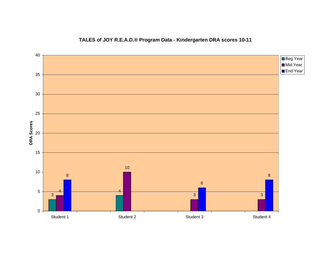### **TALES of JOY R.E.A.D.® Program Data - Kindergarten DRA scores 10-11**

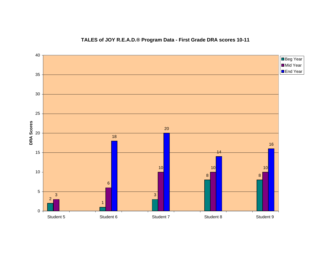### **TALES of JOY R.E.A.D.® Program Data - First Grade DRA scores 10-11**

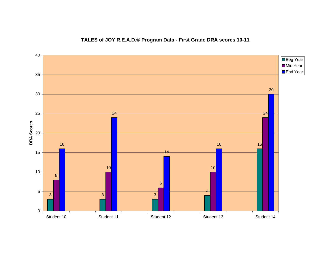### **TALES of JOY R.E.A.D.® Program Data - First Grade DRA scores 10-11**

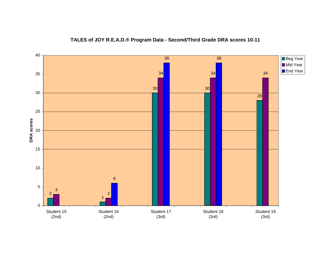

#### **TALES of JOY R.E.A.D.® Program Data - Second/Third Grade DRA scores 10-11**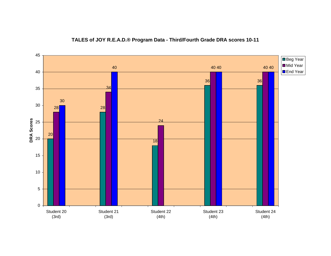

### **TALES of JOY R.E.A.D.® Program Data - Third/Fourth Grade DRA scores 10-11**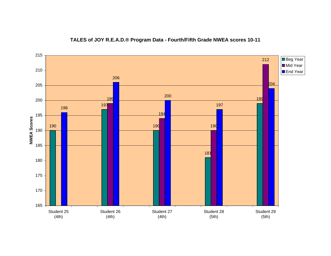

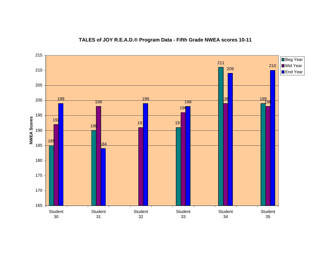#### **TALES of JOY R.E.A.D.® Program Data - Fifth Grade NWEA scores 10-11**

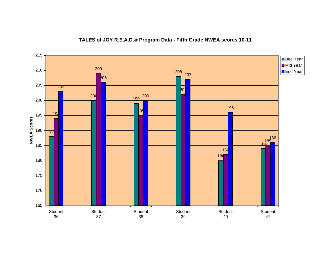#### **TALES of JOY R.E.A.D.® Program Data - Fifth Grade NWEA scores 10-11**

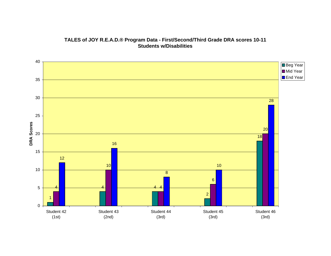#### **TALES of JOY R.E.A.D.® Program Data - First/Second/Third Grade DRA scores 10-11 Students w/Disabilities**

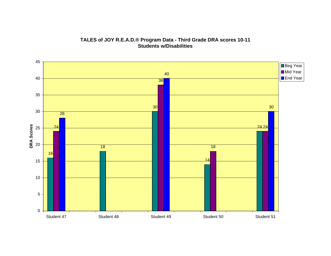

**TALES of JOY R.E.A.D.® Program Data - Third Grade DRA scores 10-11 Students w/Disabilities**